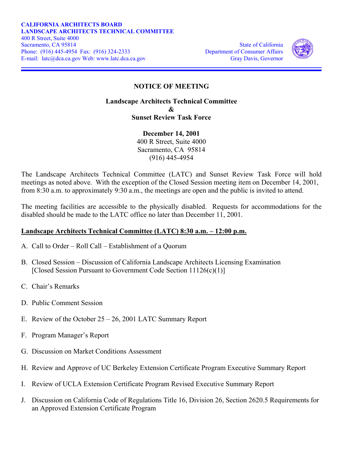

## **NOTICE OF MEETING**

## **Landscape Architects Technical Committee**   $\mathcal{R}_{I}$ **Sunset Review Task Force**

**December 14, 2001**  400 R Street, Suite 4000 Sacramento, CA 95814 (916) 445-4954

The Landscape Architects Technical Committee (LATC) and Sunset Review Task Force will hold meetings as noted above. With the exception of the Closed Session meeting item on December 14, 2001, from 8:30 a.m. to approximately 9:30 a.m., the meetings are open and the public is invited to attend.

The meeting facilities are accessible to the physically disabled. Requests for accommodations for the disabled should be made to the LATC office no later than December 11, 2001.

## **Landscape Architects Technical Committee (LATC) 8:30 a.m. – 12:00 p.m.**

- A. Call to Order Roll Call Establishment of a Quorum
- B. Closed Session Discussion of California Landscape Architects Licensing Examination [Closed Session Pursuant to Government Code Section 11126(c)(1)]
- C. Chair's Remarks
- D. Public Comment Session
- E. Review of the October 25 26, 2001 LATC Summary Report
- F. Program Manager's Report
- G. Discussion on Market Conditions Assessment
- H. Review and Approve of UC Berkeley Extension Certificate Program Executive Summary Report
- I. Review of UCLA Extension Certificate Program Revised Executive Summary Report
- an Approved Extension Certificate Program J. Discussion on California Code of Regulations Title 16, Division 26, Section 2620.5 Requirements for